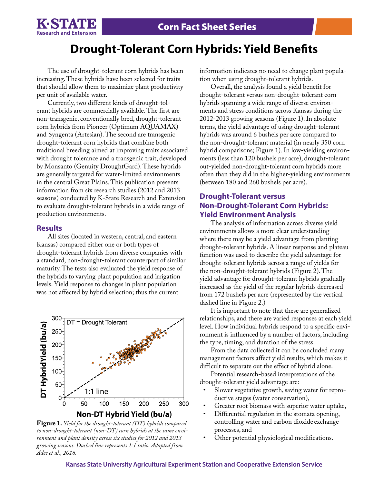

# **Drought-Tolerant Corn Hybrids: Yield Benefits**

The use of drought-tolerant corn hybrids has been increasing. These hybrids have been selected for traits that should allow them to maximize plant productivity per unit of available water.

Currently, two different kinds of drought-tolerant hybrids are commercially available. The first are non-transgenic, conventionally bred, drought-tolerant corn hybrids from Pioneer (Optimum AQUAMAX) and Syngenta (Artesian). The second are transgenic drought-tolerant corn hybrids that combine both traditional breeding aimed at improving traits associated with drought tolerance and a transgenic trait, developed by Monsanto (Genuity DroughtGard). These hybrids are generally targeted for water-limited environments in the central Great Plains. This publication presents information from six research studies (2012 and 2013 seasons) conducted by K-State Research and Extension to evaluate drought-tolerant hybrids in a wide range of production environments.

### **Results**

All sites (located in western, central, and eastern Kansas) compared either one or both types of drought-tolerant hybrids from diverse companies with a standard, non-drought-tolerant counterpart of similar maturity. The tests also evaluated the yield response of the hybrids to varying plant population and irrigation levels. Yield response to changes in plant population was not affected by hybrid selection; thus the current



**Figure 1.** *Yield for the drought-tolerant (DT) hybrids compared to non-drought-tolerant (non-DT) corn hybrids at the same environment and plant density across six studies for 2012 and 2013 growing seasons. Dashed line represents 1:1 ratio. Adapted from Adee et al., 2016.*

information indicates no need to change plant population when using drought-tolerant hybrids.

Overall, the analysis found a yield benefit for drought-tolerant versus non-drought-tolerant corn hybrids spanning a wide range of diverse environments and stress conditions across Kansas during the 2012-2013 growing seasons (Figure 1). In absolute terms, the yield advantage of using drought-tolerant hybrids was around 6 bushels per acre compared to the non-drought-tolerant material (in nearly 350 corn hybrid comparisons; Figure 1). In low-yielding environments (less than 120 bushels per acre), drought-tolerant out-yielded non-drought-tolerant corn hybrids more often than they did in the higher-yielding environments (between 180 and 260 bushels per acre).

## **Drought-Tolerant versus Non-Drought-Tolerant Corn Hybrids: Yield Environment Analysis**

The analysis of information across diverse yield environments allows a more clear understanding where there may be a yield advantage from planting drought-tolerant hybrids. A linear response and plateau function was used to describe the yield advantage for drought-tolerant hybrids across a range of yields for the non-drought-tolerant hybrids (Figure 2). The yield advantage for drought-tolerant hybrids gradually increased as the yield of the regular hybrids decreased from 172 bushels per acre (represented by the vertical dashed line in Figure 2.)

It is important to note that these are generalized relationships, and there are varied responses at each yield level. How individual hybrids respond to a specific environment is influenced by a number of factors, including the type, timing, and duration of the stress.

From the data collected it can be concluded many management factors affect yield results, which makes it difficult to separate out the effect of hybrid alone.

Potential research-based interpretations of the drought-tolerant yield advantage are:

- Slower vegetative growth, saving water for reproductive stages (water conservation),
- Greater root biomass with superior water uptake,
- Differential regulation in the stomata opening, controlling water and carbon dioxide exchange processes, and
- Other potential physiological modifications.